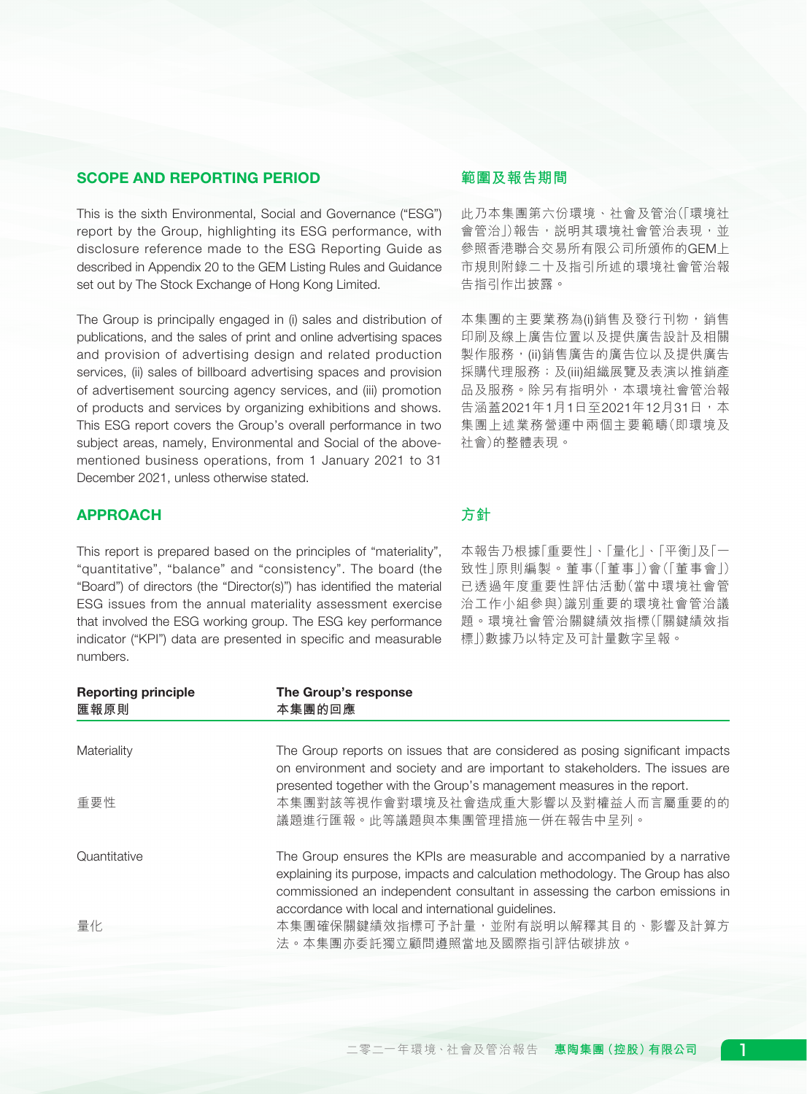# SCOPE AND REPORTING PERIOD

This is the sixth Environmental, Social and Governance ("ESG") report by the Group, highlighting its ESG performance, with disclosure reference made to the ESG Reporting Guide as described in Appendix 20 to the GEM Listing Rules and Guidance set out by The Stock Exchange of Hong Kong Limited.

The Group is principally engaged in (i) sales and distribution of publications, and the sales of print and online advertising spaces and provision of advertising design and related production services, (ii) sales of billboard advertising spaces and provision of advertisement sourcing agency services, and (iii) promotion of products and services by organizing exhibitions and shows. This ESG report covers the Group's overall performance in two subject areas, namely, Environmental and Social of the abovementioned business operations, from 1 January 2021 to 31 December 2021, unless otherwise stated.

# APPROACH

This report is prepared based on the principles of "materiality", "quantitative", "balance" and "consistency". The board (the "Board") of directors (the "Director(s)") has identified the material ESG issues from the annual materiality assessment exercise that involved the ESG working group. The ESG key performance indicator ("KPI") data are presented in specific and measurable numbers.

# **範圍及報告期間**

此乃本集團第六份環境、社會及管治(「環境社 會管治」)報告,説明其環境社會管治表現,並 參照香港聯合交易所有限公司所頒佈的GEM上 市規則附錄二十及指引所述的環境社會管治報 告指引作出披露。

本集團的主要業務為(i)銷售及發行刊物,銷售 印刷及線上廣告位置以及提供廣告設計及相關 製作服務,(ii)銷售廣告的廣告位以及提供廣告 採購代理服務;及(iii)組織展覽及表演以推銷產 品及服務。除另有指明外,本環境社會管治報 **告涵蓋2021年1月1日至2021年12月31日,本** 集團上述業務營運中兩個主要範疇(即環境及 社會)的整體表現。

# **方針**

本報告乃根據「重要性」、「量化」、「平衡」及「一 致性」原則編製。董事(「董事」)會(「董事會」) 已透過年度重要性評估活動(當中環境社會管 治工作小組參與)識別重要的環境社會管治議 題。環境社會管治關鍵績效指標(「關鍵績效指 標」)數據乃以特定及可計量數字呈報。

| <b>Reporting principle</b><br>匯報原則 | The Group's response<br>本集團的回應                                                                                                                                                                                                                                                                    |
|------------------------------------|---------------------------------------------------------------------------------------------------------------------------------------------------------------------------------------------------------------------------------------------------------------------------------------------------|
| Materiality                        | The Group reports on issues that are considered as posing significant impacts<br>on environment and society and are important to stakeholders. The issues are                                                                                                                                     |
| 重要性                                | presented together with the Group's management measures in the report.<br>本集團對該等視作會對環境及社會造成重大影響以及對權益人而言屬重要的的<br>議題進行匯報。此等議題與本集團管理措施一併在報告中呈列。                                                                                                                                                      |
| Quantitative                       | The Group ensures the KPIs are measurable and accompanied by a narrative<br>explaining its purpose, impacts and calculation methodology. The Group has also<br>commissioned an independent consultant in assessing the carbon emissions in<br>accordance with local and international guidelines. |
| 量化                                 | 本集團確保關鍵績效指標可予計量,並附有説明以解釋其目的、影響及計算方<br>法。本集團亦委託獨立顧問遵照當地及國際指引評估碳排放。                                                                                                                                                                                                                                 |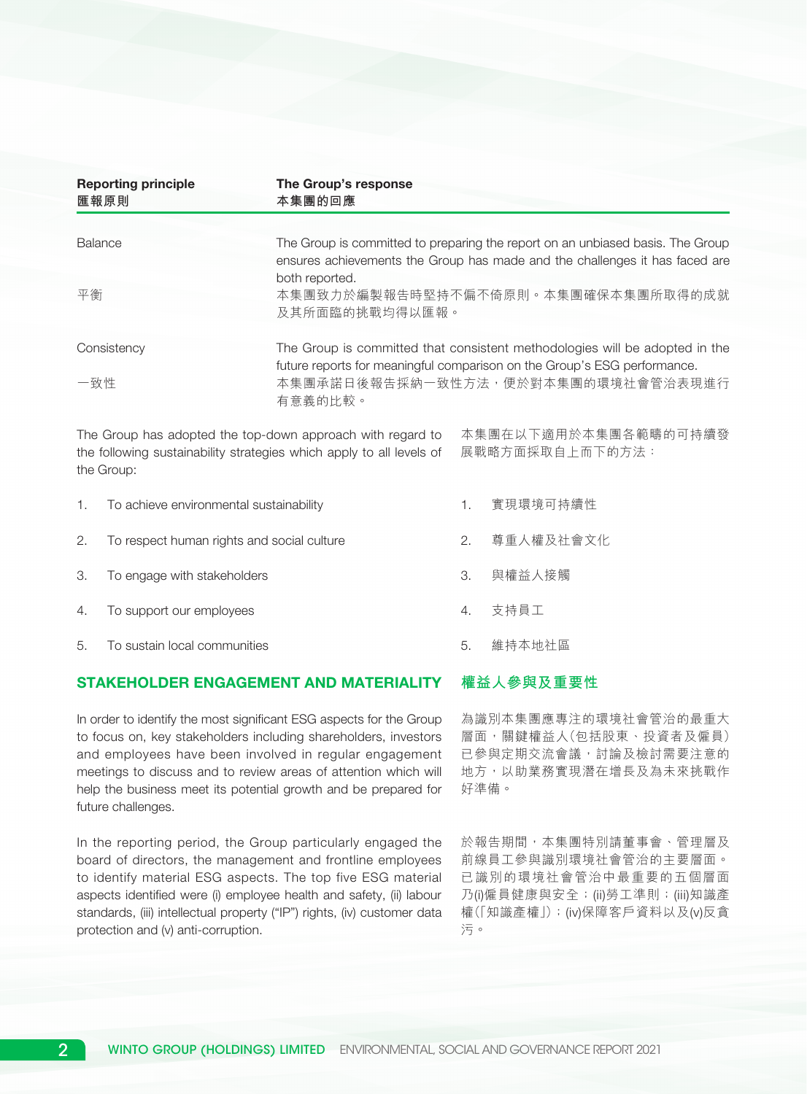|                      | <b>Reporting principle</b><br>匯報原則         | The Group's response<br>本集團的回應                                                                                                                                                                                        |    |                                         |  |
|----------------------|--------------------------------------------|-----------------------------------------------------------------------------------------------------------------------------------------------------------------------------------------------------------------------|----|-----------------------------------------|--|
| <b>Balance</b><br>平衡 |                                            | The Group is committed to preparing the report on an unbiased basis. The Group<br>ensures achievements the Group has made and the challenges it has faced are<br>both reported.<br>本集團致力於編製報告時堅持不偏不倚原則。本集團確保本集團所取得的成就 |    |                                         |  |
|                      |                                            | 及其所面臨的挑戰均得以匯報。                                                                                                                                                                                                        |    |                                         |  |
| 一致性                  | Consistency                                | The Group is committed that consistent methodologies will be adopted in the<br>future reports for meaningful comparison on the Group's ESG performance.<br>本集團承諾日後報告採納一致性方法,便於對本集團的環境社會管治表現進行<br>有意義的比較。              |    |                                         |  |
|                      | the Group:                                 | The Group has adopted the top-down approach with regard to<br>the following sustainability strategies which apply to all levels of                                                                                    |    | 本集團在以下適用於本集團各範疇的可持續發<br>展戰略方面採取自上而下的方法: |  |
| 1.                   | To achieve environmental sustainability    |                                                                                                                                                                                                                       | 1. | 實現環境可持續性                                |  |
| 2.                   | To respect human rights and social culture |                                                                                                                                                                                                                       | 2. | 尊重人權及社會文化                               |  |
| 3.                   | To engage with stakeholders                |                                                                                                                                                                                                                       | 3. | 與權益人接觸                                  |  |
| 4.                   | To support our employees                   |                                                                                                                                                                                                                       | 4. | 支持員工                                    |  |
| 5.                   | To sustain local communities               |                                                                                                                                                                                                                       | 5. | 維持本地社區                                  |  |

#### **權益人參與及重要性** STAKEHOLDER ENGAGEMENT AND MATERIALITY

In order to identify the most significant ESG aspects for the Group to focus on, key stakeholders including shareholders, investors and employees have been involved in regular engagement meetings to discuss and to review areas of attention which will help the business meet its potential growth and be prepared for future challenges.

In the reporting period, the Group particularly engaged the board of directors, the management and frontline employees to identify material ESG aspects. The top five ESG material aspects identified were (i) employee health and safety, (ii) labour standards, (iii) intellectual property ("IP") rights, (iv) customer data protection and (v) anti-corruption.

為識別本集團應專注的環境社會管治的最重大 層面,關鍵權益人(包括股東、投資者及僱員) 已參與定期交流會議,討論及檢討需要注意的 地方,以助業務實現潛在增長及為未來挑戰作 好準備。

於報告期間,本集團特別請董事會、管理層及 前線員工參與識別環境社會管治的主要層面。 已識別的環境社會管治中最重要的五個層面 乃(i)僱員健康與安全;(ii)勞工準則;(iii)知識產 權(「知識產權」);(iv)保障客戶資料以及(v)反貪 污。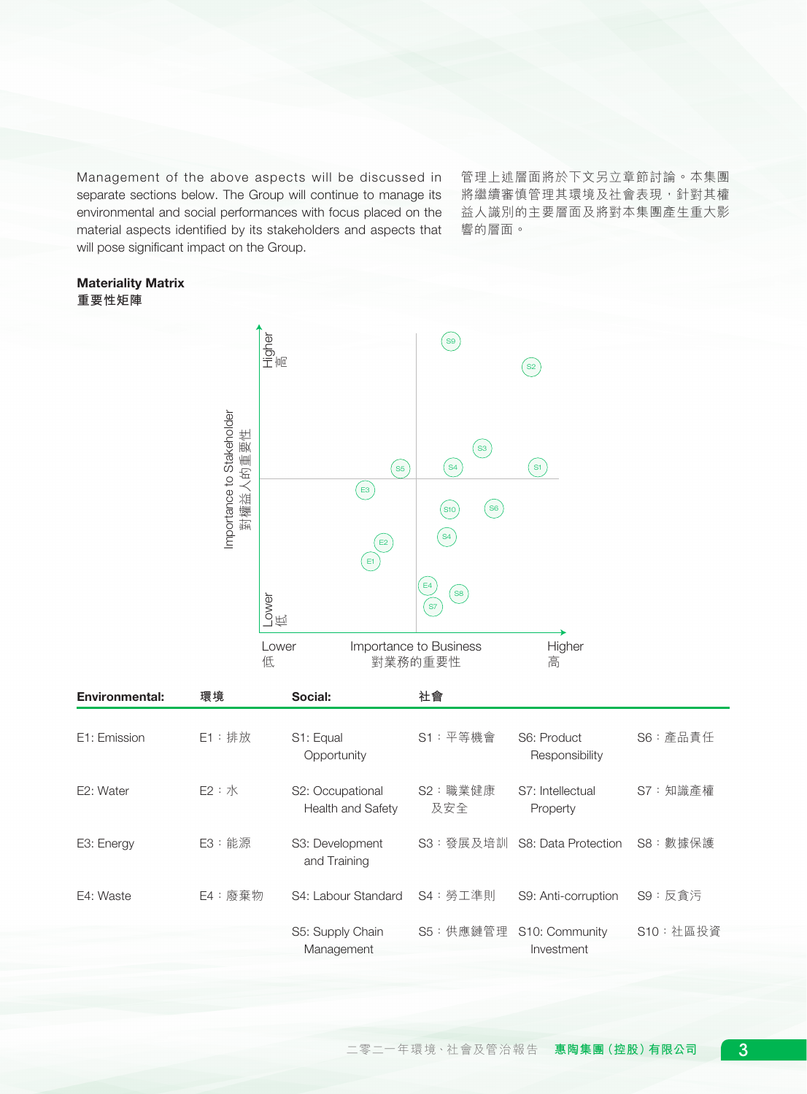Management of the above aspects will be discussed in separate sections below. The Group will continue to manage its environmental and social performances with focus placed on the material aspects identified by its stakeholders and aspects that will pose significant impact on the Group.

管理上述層面將於下文另立章節討論。本集團 將繼續審慎管理其環境及社會表現,針對其權 益人識別的主要層面及將對本集團產生重大影 響的層面。

# Materiality Matrix **重要性矩陣**



| <b>Environmental:</b> | 環境       | Social:                               | 社會              |                               |           |
|-----------------------|----------|---------------------------------------|-----------------|-------------------------------|-----------|
| E1: Emission          | $E1:$ 排放 | S1: Equal<br>Opportunity              | S1: 平等機會        | S6: Product<br>Responsibility | S6: 產品責任  |
| E2: Water             | E2 : X   | S2: Occupational<br>Health and Safety | S2: 職業健康<br>及安全 | S7: Intellectual<br>Property  | S7:知識產權   |
| E3: Energy            | $E3:$ 能源 | S3: Development<br>and Training       |                 | S3: 發展及培訓 S8: Data Protection | S8: 數據保護  |
| E4: Waste             | E4:廢棄物   | S4: Labour Standard                   | S4:勞工準則         | S9: Anti-corruption           | S9:反貪污    |
|                       |          | S5: Supply Chain<br>Management        | S5:供應鏈管理        | S10: Community<br>Investment  | S10: 社區投資 |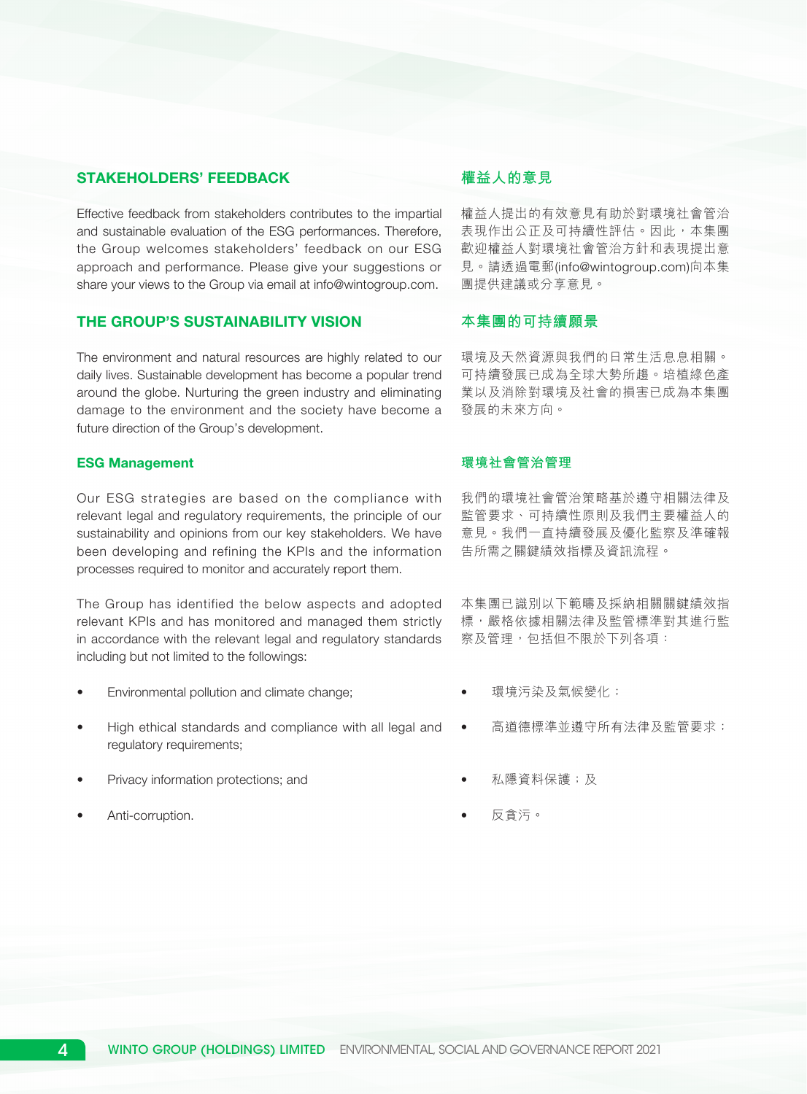# STAKEHOLDERS' FEEDBACK

Effective feedback from stakeholders contributes to the impartial and sustainable evaluation of the ESG performances. Therefore, the Group welcomes stakeholders' feedback on our ESG approach and performance. Please give your suggestions or share your views to the Group via email at info@wintogroup.com.

# THE GROUP'S SUSTAINABILITY VISION

The environment and natural resources are highly related to our daily lives. Sustainable development has become a popular trend around the globe. Nurturing the green industry and eliminating damage to the environment and the society have become a future direction of the Group's development.

### ESG Management

Our ESG strategies are based on the compliance with relevant legal and regulatory requirements, the principle of our sustainability and opinions from our key stakeholders. We have been developing and refining the KPIs and the information processes required to monitor and accurately report them.

The Group has identified the below aspects and adopted relevant KPIs and has monitored and managed them strictly in accordance with the relevant legal and regulatory standards including but not limited to the followings:

- Environmental pollution and climate change;
- High ethical standards and compliance with all legal and regulatory requirements;
- Privacy information protections; and
- Anti-corruption.

# **權益人的意見**

權益人提出的有效意見有助於對環境社會管治 表現作出公正及可持續性評估。因此,本集團 歡迎權益人對環境社會管治方針和表現提出意 見。請透過電郵(info@wintogroup.com)向本集 團提供建議或分享意見。

# **本集團的可持續願景**

環境及天然資源與我們的日常生活息息相關。 可持續發展已成為全球大勢所趨。培植綠色產 業以及消除對環境及社會的損害已成為本集團 發展的未來方向。

### **環境社會管治管理**

我們的環境社會管治策略基於遵守相關法律及 監管要求、可持續性原則及我們主要權益人的 意見。我們一直持續發展及優化監察及準確報 告所需之關鍵績效指標及資訊流程。

本集團已識別以下範疇及採納相關關鍵績效指 標,嚴格依據相關法律及監管標準對其進行監 察及管理,包括但不限於下列各項:

- 環境污染及氣候變化;
- 高道德標準並遵守所有法律及監管要求;
- 私隱資料保護;及
- 反貪污。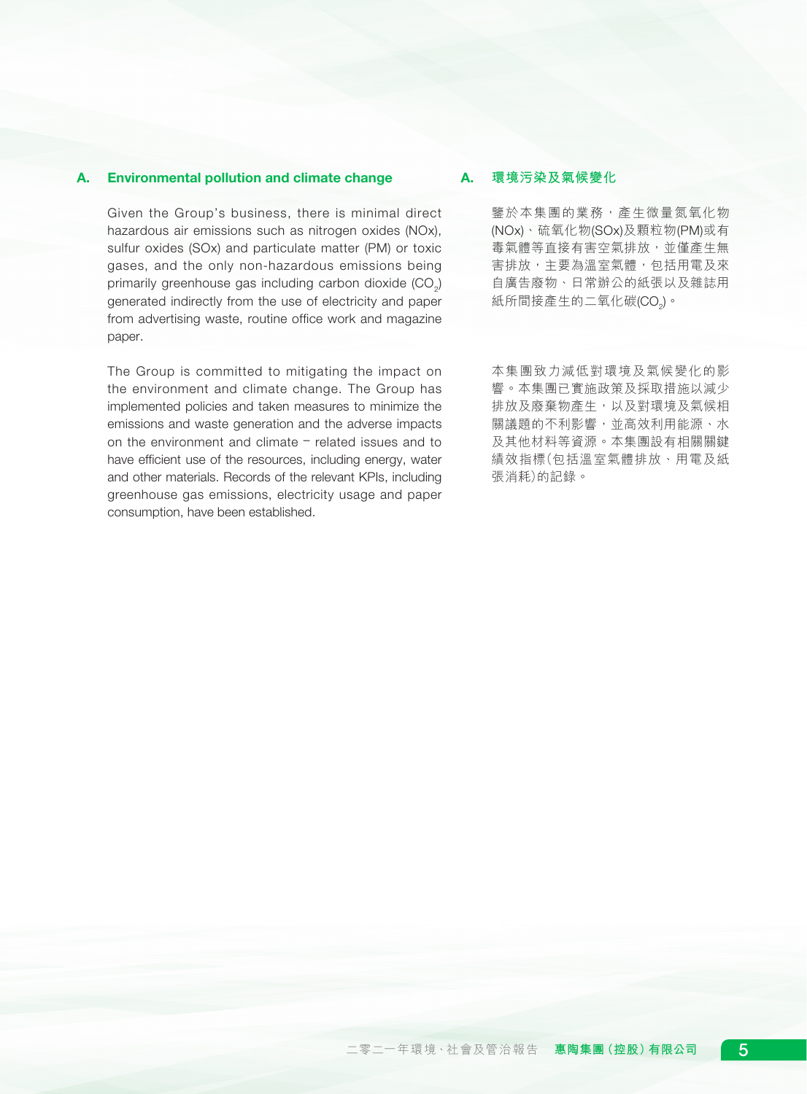# A. Environmental pollution and climate change

Given the Group's business, there is minimal direct hazardous air emissions such as nitrogen oxides (NOx), sulfur oxides (SOx) and particulate matter (PM) or toxic gases, and the only non-hazardous emissions being primarily greenhouse gas including carbon dioxide (CO<sub>2</sub>) generated indirectly from the use of electricity and paper from advertising waste, routine office work and magazine paper.

The Group is committed to mitigating the impact on the environment and climate change. The Group has implemented policies and taken measures to minimize the emissions and waste generation and the adverse impacts on the environment and climate – related issues and to have efficient use of the resources, including energy, water and other materials. Records of the relevant KPIs, including greenhouse gas emissions, electricity usage and paper consumption, have been established.

### A. **環境污染及氣候變化**

鑒於本集團的業務,產生微量氮氧化物 (NOx)、硫氧化物(SOx)及顆粒物(PM)或有 毒氣體等直接有害空氣排放,並僅產生無 害排放,主要為溫室氣體,包括用電及來 自廣告廢物、日常辦公的紙張以及雜誌用 紙所間接產生的二氧化碳(CO<sub>2</sub>)。

本集團致力減低對環境及氣候變化的影 響。本集團已實施政策及採取措施以減少 排放及廢棄物產生,以及對環境及氣候相 關議題的不利影響,並高效利用能源、水 及其他材料等資源。本集團設有相關關鍵 績效指標(包括溫室氣體排放、用電及紙 張消耗)的記錄。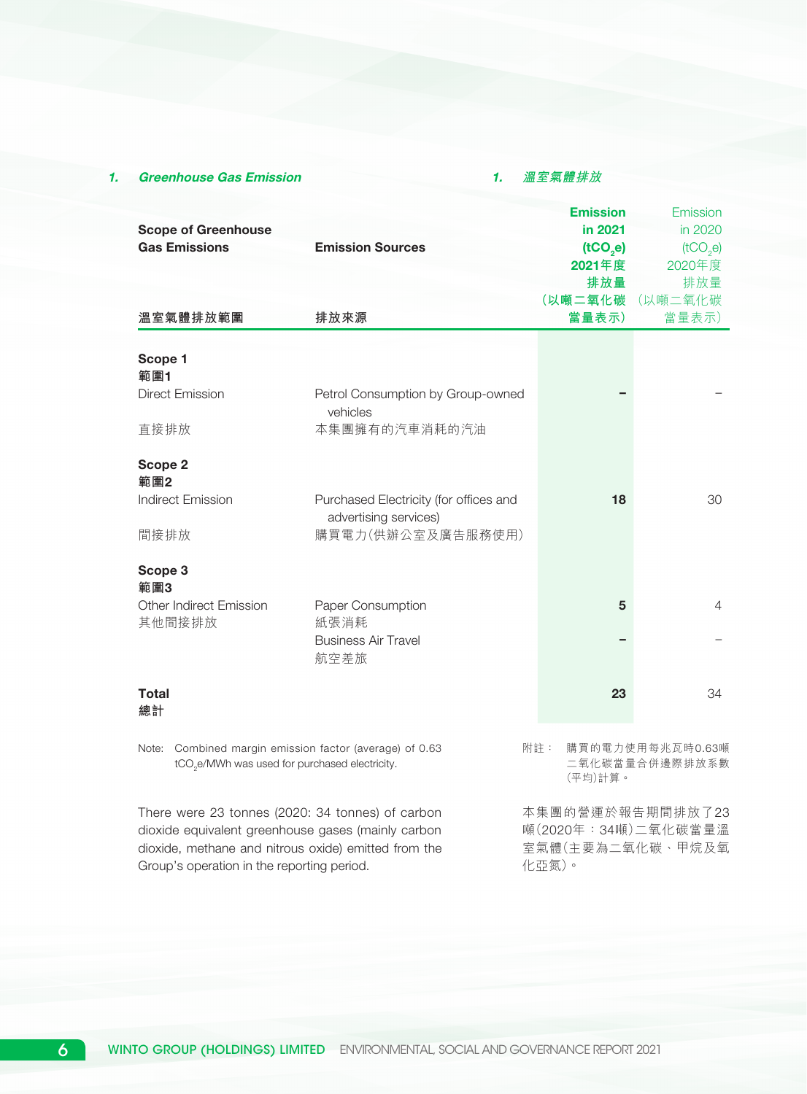### 1. Greenhouse Gas Emission

#### 1. **溫室氣體排放**

| <b>Scope of Greenhouse</b><br><b>Gas Emissions</b>                                                                    | <b>Emission Sources</b>                                         | <b>Emission</b><br>in 2021<br>(tCO,e)<br>2021年度<br>排放量<br>(以噸二氧化碳 | Emission<br>in 2020<br>(tCO <sub>2</sub> e)<br>2020年度<br>排放量<br>(以噸二氧化碳 |
|-----------------------------------------------------------------------------------------------------------------------|-----------------------------------------------------------------|-------------------------------------------------------------------|-------------------------------------------------------------------------|
| 溫室氣體排放範圍                                                                                                              | 排放來源                                                            | 當量表示)                                                             | 當量表示)                                                                   |
| Scope 1<br>範圍1                                                                                                        |                                                                 |                                                                   |                                                                         |
| <b>Direct Emission</b>                                                                                                | Petrol Consumption by Group-owned<br>vehicles                   |                                                                   |                                                                         |
| 直接排放                                                                                                                  | 本集團擁有的汽車消耗的汽油                                                   |                                                                   |                                                                         |
| Scope 2<br>範圍2                                                                                                        |                                                                 |                                                                   |                                                                         |
| <b>Indirect Emission</b>                                                                                              | Purchased Electricity (for offices and<br>advertising services) | 18                                                                | 30                                                                      |
| 間接排放                                                                                                                  | 購買電力(供辦公室及廣告服務使用)                                               |                                                                   |                                                                         |
| Scope 3<br>範圍3                                                                                                        |                                                                 |                                                                   |                                                                         |
| <b>Other Indirect Emission</b><br>其他間接排放                                                                              | Paper Consumption<br>紙張消耗                                       | 5                                                                 | $\overline{4}$                                                          |
|                                                                                                                       | <b>Business Air Travel</b><br>航空差旅                              |                                                                   |                                                                         |
| <b>Total</b><br>總計                                                                                                    |                                                                 | 23                                                                | 34                                                                      |
| Note: Combined margin emission factor (average) of 0.63<br>tCO <sub>2</sub> e/MWh was used for purchased electricity. |                                                                 | 附註:<br>(平均)計算。                                                    | 購買的電力使用每兆瓦時0.63噸<br>二氧化碳當量合併邊際排放系數                                      |
| There were 23 tonnes (2020: 34 tonnes) of carbon                                                                      |                                                                 | 本集團的營運於報告期間排放了23                                                  |                                                                         |

dioxide equivalent greenhouse gases (mainly carbon dioxide, methane and nitrous oxide) emitted from the Group's operation in the reporting period.

噸(2020年:34噸)二氧化碳當量溫 室氣體(主要為二氧化碳、甲烷及氧 化亞氮)。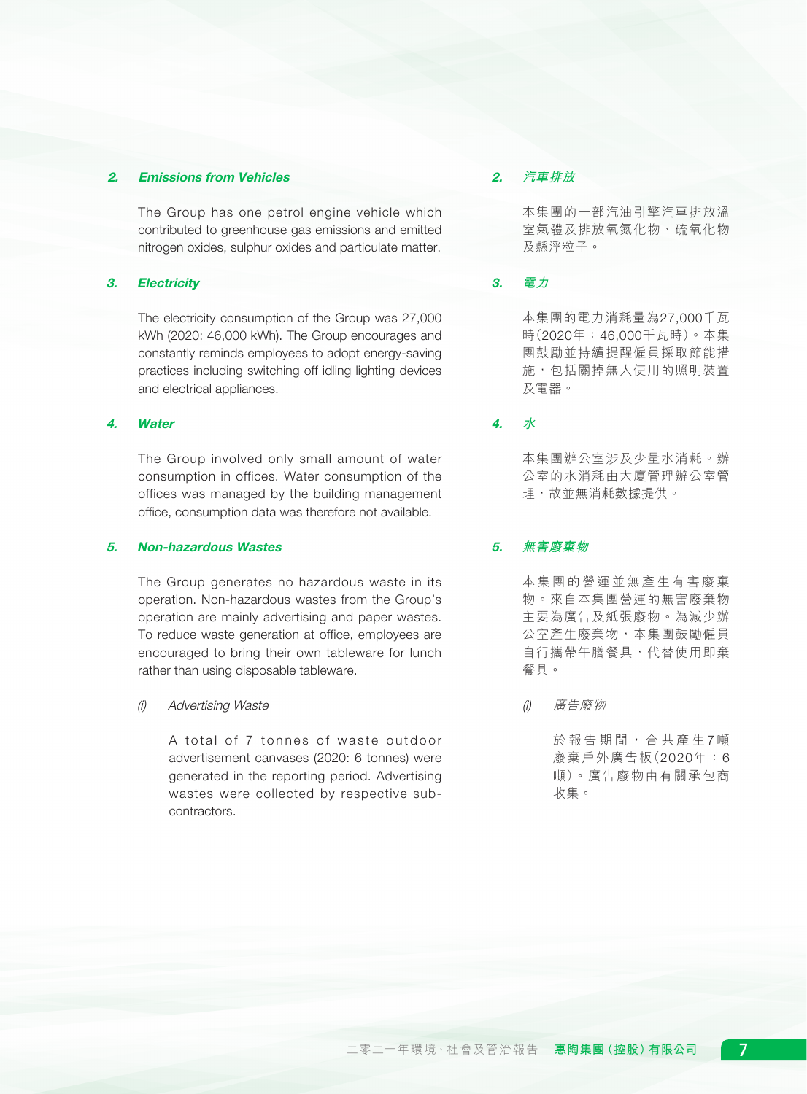### 2. Emissions from Vehicles

The Group has one petrol engine vehicle which contributed to greenhouse gas emissions and emitted nitrogen oxides, sulphur oxides and particulate matter.

# 3. Electricity

The electricity consumption of the Group was 27,000 kWh (2020: 46,000 kWh). The Group encourages and constantly reminds employees to adopt energy-saving practices including switching off idling lighting devices and electrical appliances.

### 4. Water

The Group involved only small amount of water consumption in offices. Water consumption of the offices was managed by the building management office, consumption data was therefore not available.

### 5. Non-hazardous Wastes

The Group generates no hazardous waste in its operation. Non-hazardous wastes from the Group's operation are mainly advertising and paper wastes. To reduce waste generation at office, employees are encouraged to bring their own tableware for lunch rather than using disposable tableware.

### (i) Advertising Waste

A total of 7 tonnes of waste outdoor advertisement canvases (2020: 6 tonnes) were generated in the reporting period. Advertising wastes were collected by respective subcontractors.

# 2. **汽車排放**

本集團的一部汽油引擎汽車排放溫 室氣體及排放氧氮化物、硫氧化物 及懸浮粒子。

# 3. **電力**

本集團的電力消耗量為27,000千瓦 時(2020年:46,000千瓦時)。本集 團鼓勵並持續提醒僱員採取節能措 施,包括關掉無人使用的照明裝置 及電器。

4. **水**

本集團辦公室涉及少量水消耗。辦 公室的水消耗由大廈管理辦公室管 理,故並無消耗數據提供。

# 5. **無害廢棄物**

本集團的營運並無產生有害廢棄 物。來自本集團營運的無害廢棄物 主要為廣告及紙張廢物。為減少辦 公室產生廢棄物,本集團鼓勵僱員 自行攜帶午膳餐具,代替使用即棄 餐具。

(i) 廣告廢物

於報告期間,合共產生 7 噸 廢棄戶外廣告板(2020年:6 噸)。廣告廢物由有關承包商 收集。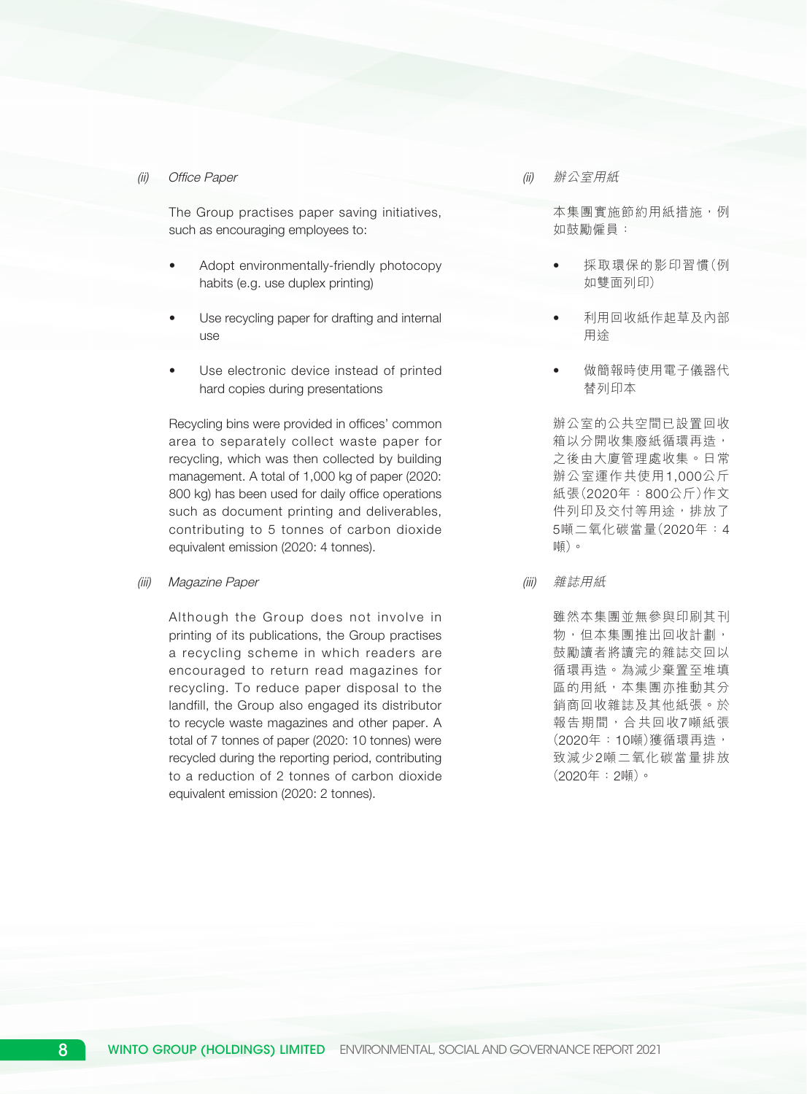#### (ii) Office Paper

The Group practises paper saving initiatives, such as encouraging employees to:

- Adopt environmentally-friendly photocopy habits (e.g. use duplex printing)
- Use recycling paper for drafting and internal use
- Use electronic device instead of printed hard copies during presentations

Recycling bins were provided in offices' common area to separately collect waste paper for recycling, which was then collected by building management. A total of 1,000 kg of paper (2020: 800 kg) has been used for daily office operations such as document printing and deliverables, contributing to 5 tonnes of carbon dioxide equivalent emission (2020: 4 tonnes).

#### (iii) Magazine Paper

Although the Group does not involve in printing of its publications, the Group practises a recycling scheme in which readers are encouraged to return read magazines for recycling. To reduce paper disposal to the landfill, the Group also engaged its distributor to recycle waste magazines and other paper. A total of 7 tonnes of paper (2020: 10 tonnes) were recycled during the reporting period, contributing to a reduction of 2 tonnes of carbon dioxide equivalent emission (2020: 2 tonnes).

(ii) 辦公室用紙

本集團實施節約用紙措施,例 如鼓勵僱員:

- 採取環保的影印習慣(例 如雙面列印)
- 利用回收紙作起草及內部 用途
- 做簡報時使用電子儀器代 替列印本

辦公室的公共空間已設置回收 箱以分開收集廢紙循環再造, 之後由大廈管理處收集。日常 辦公室運作共使用1,000公斤 紙張(2020年:800公斤)作文 件列印及交付等用途,排放了 5噸二氧化碳當量(2020年:4 噸)。

(iii) 雜誌用紙

雖然本集團並無參與印刷其刊 物,但本集團推出回收計劃, 鼓勵讀者將讀完的雜誌交回以 循環再造。為減少棄置至堆填 區的用紙,本集團亦推動其分 銷商回收雜誌及其他紙張。於 報告期間,合共回收7噸紙張 (2020年:10噸)獲循環再造, 致減少2噸二氧化碳當量排放 (2020年:2噸)。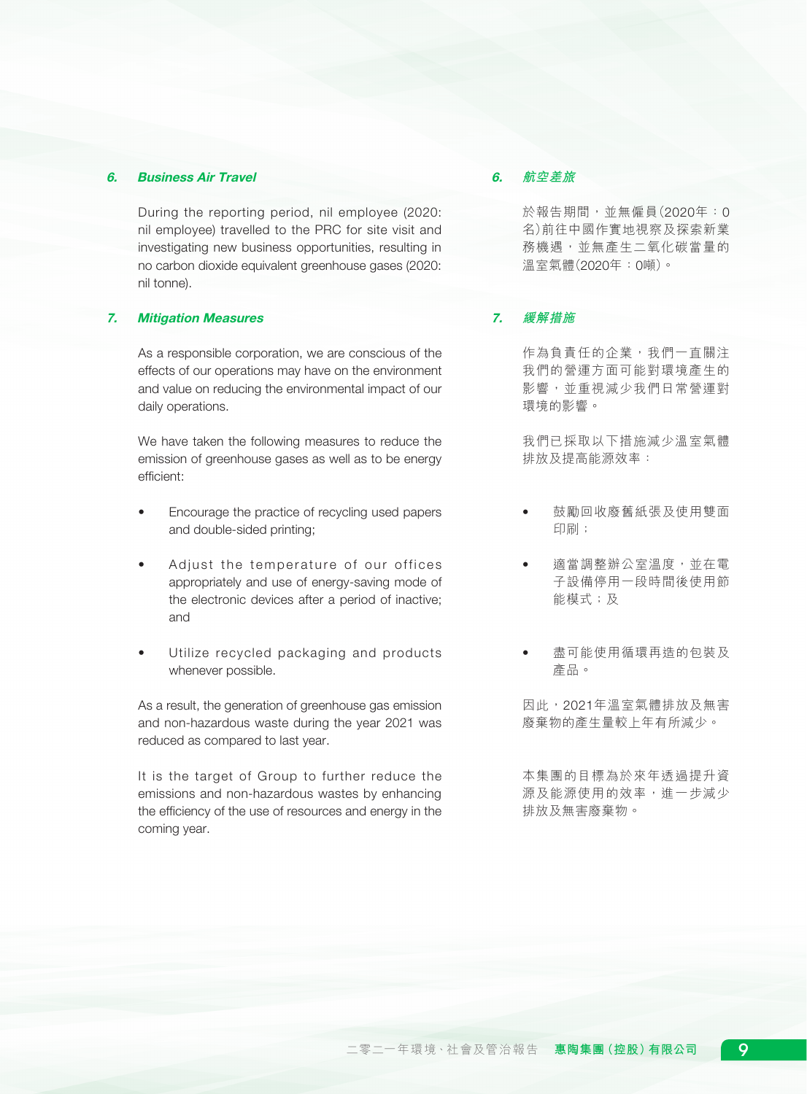### 6. Business Air Travel

During the reporting period, nil employee (2020: nil employee) travelled to the PRC for site visit and investigating new business opportunities, resulting in no carbon dioxide equivalent greenhouse gases (2020: nil tonne).

#### 7. Mitigation Measures

As a responsible corporation, we are conscious of the effects of our operations may have on the environment and value on reducing the environmental impact of our daily operations.

We have taken the following measures to reduce the emission of greenhouse gases as well as to be energy efficient:

- Encourage the practice of recycling used papers and double-sided printing;
- Adjust the temperature of our offices appropriately and use of energy-saving mode of the electronic devices after a period of inactive; and
- Utilize recycled packaging and products whenever possible.

As a result, the generation of greenhouse gas emission and non-hazardous waste during the year 2021 was reduced as compared to last year.

It is the target of Group to further reduce the emissions and non-hazardous wastes by enhancing the efficiency of the use of resources and energy in the coming year.

### 6. **航空差旅**

於報告期間,並無僱員(2020年:0 名)前往中國作實地視察及探索新業 務機遇,並無產生二氧化碳當量的 溫室氣體(2020年:0噸)。

# 7. **緩解措施**

作為負責任的企業,我們一直關注 我們的營運方面可能對環境產生的 影響,並重視減少我們日常營運對 環境的影響。

我們已採取以下措施減少溫室氣體 排放及提高能源效率:

- 鼓勵回收廢舊紙張及使用雙面 印刷;
- 適當調整辦公室溫度,並在電 子設備停用一段時間後使用節 能模式;及
- 盡可能使用循環再造的包裝及 產品。

因此,2021年溫室氣體排放及無害 廢棄物的產生量較上年有所減少。

本集團的目標為於來年透過提升資 源及能源使用的效率,進一步減少 排放及無害廢棄物。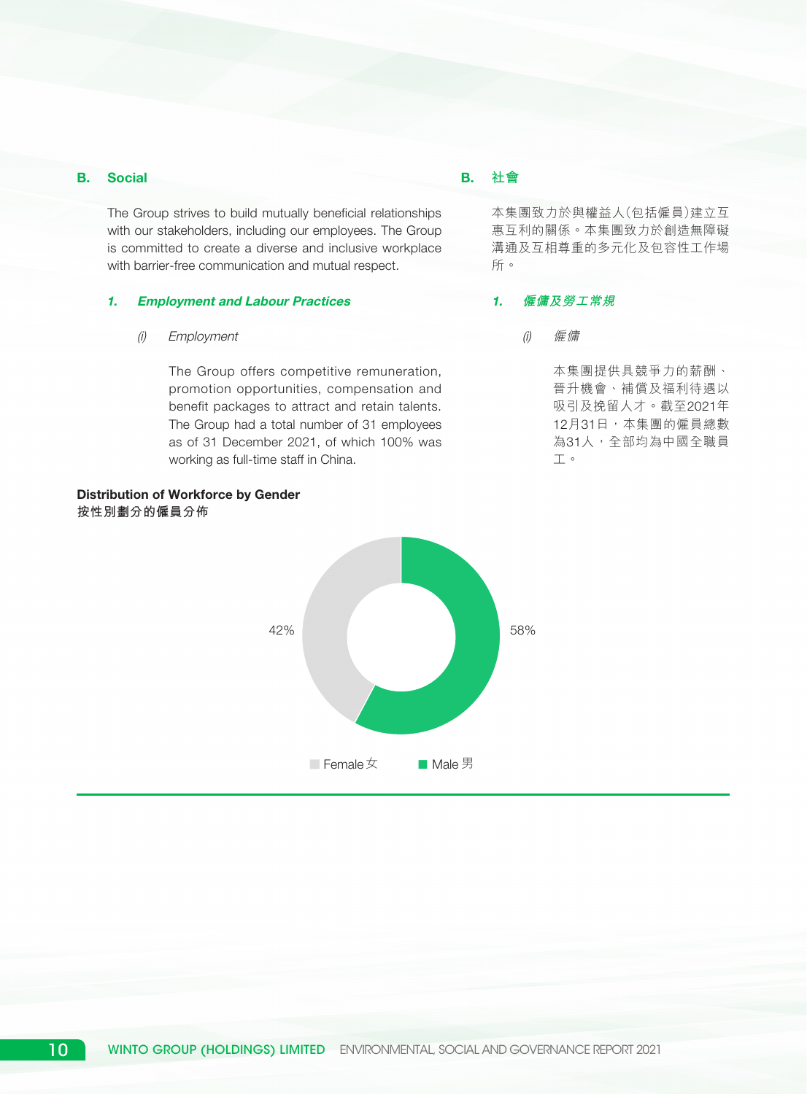# B. Social

The Group strives to build mutually beneficial relationships with our stakeholders, including our employees. The Group is committed to create a diverse and inclusive workplace with barrier-free communication and mutual respect.

#### 1. Employment and Labour Practices

### (i) Employment

The Group offers competitive remuneration, promotion opportunities, compensation and benefit packages to attract and retain talents. The Group had a total number of 31 employees as of 31 December 2021, of which 100% was working as full-time staff in China.

# Distribution of Workforce by Gender **按性別劃分的僱員分佈**



# B. **社會**

本集團致力於與權益人(包括僱員)建立互 惠互利的關係。本集團致力於創造無障礙 溝通及互相尊重的多元化及包容性工作場 所。

### 1. **僱傭及勞工常規**

(i) 僱傭

本集團提供具競爭力的薪酬、 晉升機會、補償及福利待遇以 吸引及挽留人才。截至2021年 12月31日,本集團的僱員總數 為31人,全部均為中國全職員 工。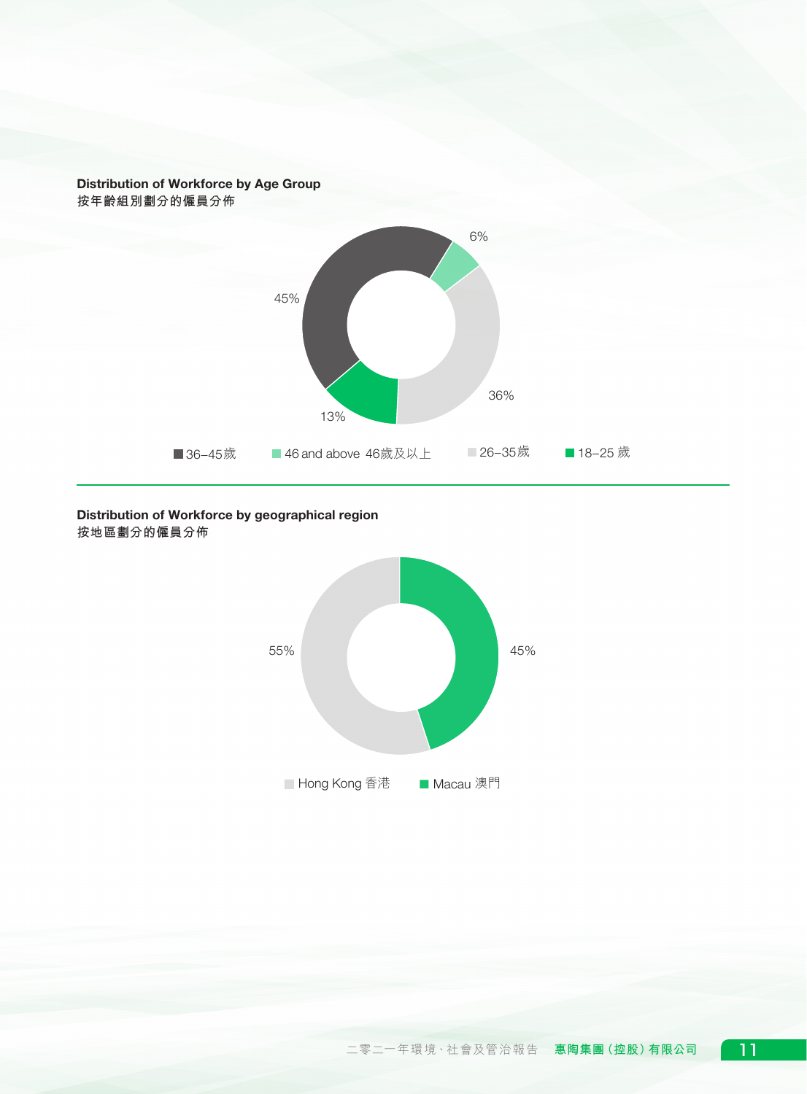

# Distribution of Workforce by geographical region **按地區劃分的僱員分佈**

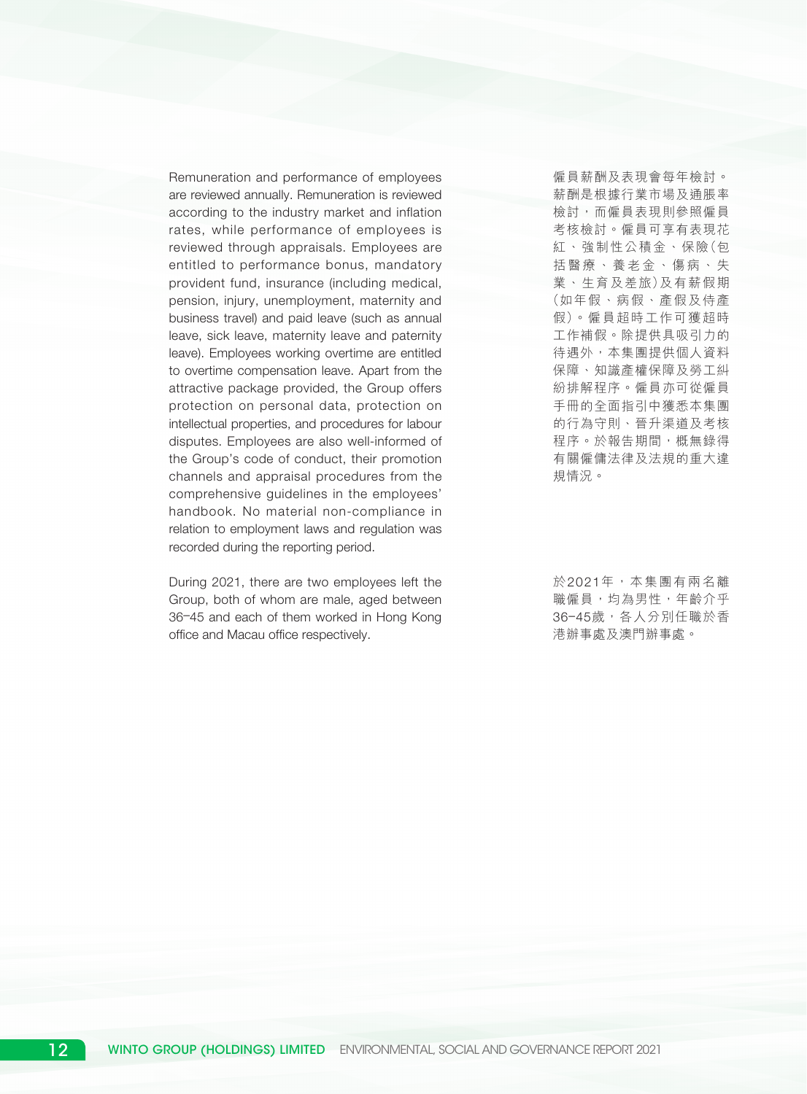Remuneration and performance of employees are reviewed annually. Remuneration is reviewed according to the industry market and inflation rates, while performance of employees is reviewed through appraisals. Employees are entitled to performance bonus, mandatory provident fund, insurance (including medical, pension, injury, unemployment, maternity and business travel) and paid leave (such as annual leave, sick leave, maternity leave and paternity leave). Employees working overtime are entitled to overtime compensation leave. Apart from the attractive package provided, the Group offers protection on personal data, protection on intellectual properties, and procedures for labour disputes. Employees are also well-informed of the Group's code of conduct, their promotion channels and appraisal procedures from the comprehensive guidelines in the employees' handbook. No material non-compliance in relation to employment laws and regulation was recorded during the reporting period.

During 2021, there are two employees left the Group, both of whom are male, aged between 36–45 and each of them worked in Hong Kong office and Macau office respectively.

僱員薪酬及表現會每年檢討。 薪酬是根據行業市場及通脹率 檢討,而僱員表現則參照僱員 考核檢討。僱員可享有表現花 紅、強制性公積金、保險(包 括醫療、養老金、傷病、失 業、生育及差旅)及有薪假期 (如年假、病假、產假及侍產 假)。僱員超時工作可獲超時 工作補假。除提供具吸引力的 待遇外,本集團提供個人資料 保障、知識產權保障及勞工糾 紛排解程序。僱員亦可從僱員 手冊的全面指引中獲悉本集團 的行為守則、晉升渠道及考核 程序。於報告期間,概無錄得 有關僱傭法律及法規的重大違 規情況。

於2021年,本集團有兩名離 職僱員,均為男性,年齡介乎 36-45歲,各人分別任職於香 港辦事處及澳門辦事處。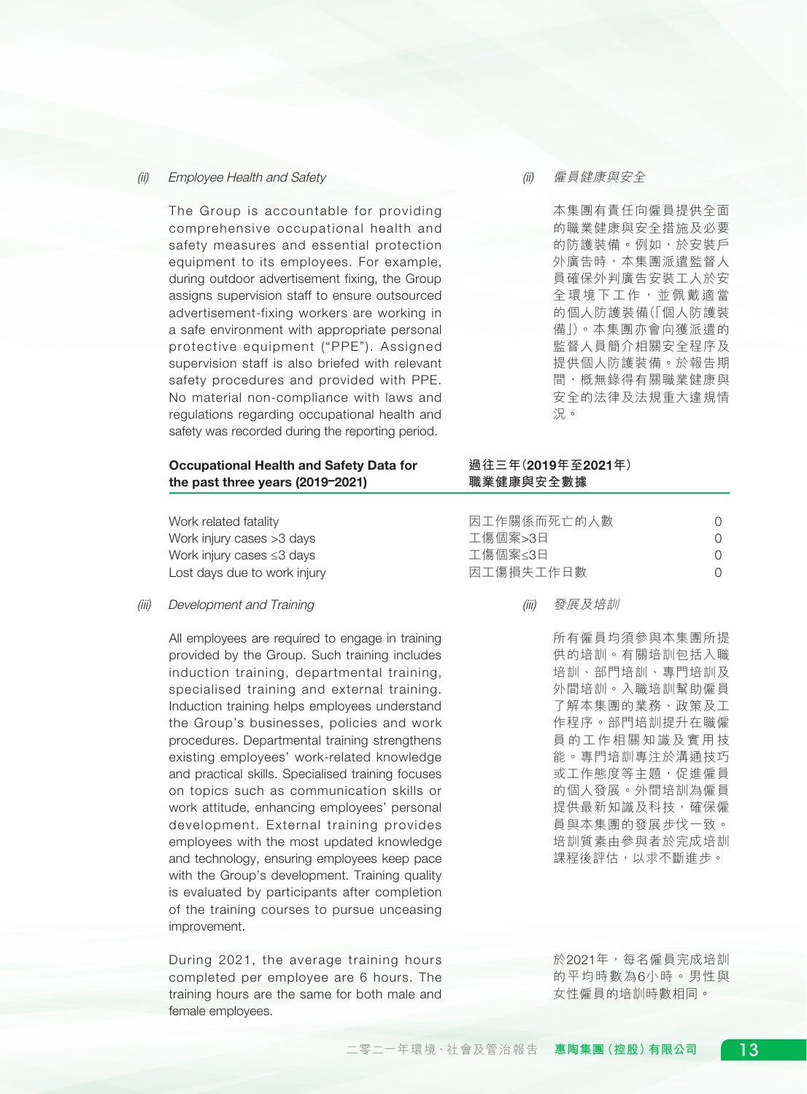#### (ii) Employee Health and Safety

The Group is accountable for providing comprehensive occupational health and safety measures and essential protection equipment to its employees. For example, during outdoor advertisement fixing, the Group assigns supervision staff to ensure outsourced advertisement-fixing workers are working in a safe environment with appropriate personal protective equipment ("PPE"). Assigned supervision staff is also briefed with relevant safety procedures and provided with PPE. No material non-compliance with laws and regulations regarding occupational health and safety was recorded during the reporting period.

#### (ii) 僱員健康與安全

本集團有責任向僱員提供全面 的職業健康與安全措施及必要 的防護裝備。例如,於安裝戶 外廣告時,本集團派遣監督人 員確保外判廣告安裝工人於安 全環境下工作,並佩戴適當 的個人防護裝備(「個人防護裝 備」)。本集團亦會向獲派遣的 監督人員簡介相關安全程序及 提供個人防護裝備。於報告期 間,概無錄得有關職業健康與 安全的法律及法規重大違規情 況。

#### Occupational Health and Safety Data for the past three years (2019–2021)

Work related fatality Work injury cases >3 days Work injury cases ≤3 days Lost days due to work injury

(iii) Development and Training

All employees are required to engage in training provided by the Group. Such training includes induction training, departmental training, specialised training and external training. Induction training helps employees understand the Group's businesses, policies and work procedures. Departmental training strengthens existing employees' work-related knowledge and practical skills. Specialised training focuses on topics such as communication skills or work attitude, enhancing employees' personal development. External training provides employees with the most updated knowledge and technology, ensuring employees keep pace with the Group's development. Training quality is evaluated by participants after completion of the training courses to pursue unceasing improvement.

During 2021, the average training hours completed per employee are 6 hours. The training hours are the same for both male and female employees.

### **過往三年(**2019**年至**2021**年) 職業健康與安全數據**

| 因工作關係而死亡的人數 |     |
|-------------|-----|
| 工傷個案>3日     | ( ) |
| 工傷個案≤3日     | ( ) |
| 因工傷損失工作日數   | ( ) |

(iii) 發展及培訓

所有僱員均須參與本集團所提 供的培訓。有關培訓包括入職 培訓、部門培訓、專門培訓及 外間培訓。入職培訓幫助僱員 了解本集團的業務、政策及工 作程序。部門培訓提升在職僱 員的工作相關知識及實用技 能。專門培訓專注於溝通技巧 或工作態度等主題,促進僱員 的個人發展。外間培訓為僱員 提供最新知識及科技,確保僱 員與本集團的發展步伐一致。 培訓質素由參與者於完成培訓 課程後評估,以求不斷進步。

於2021年,每名僱員完成培訓 的平均時數為6小時。男性與 女性僱員的培訓時數相同。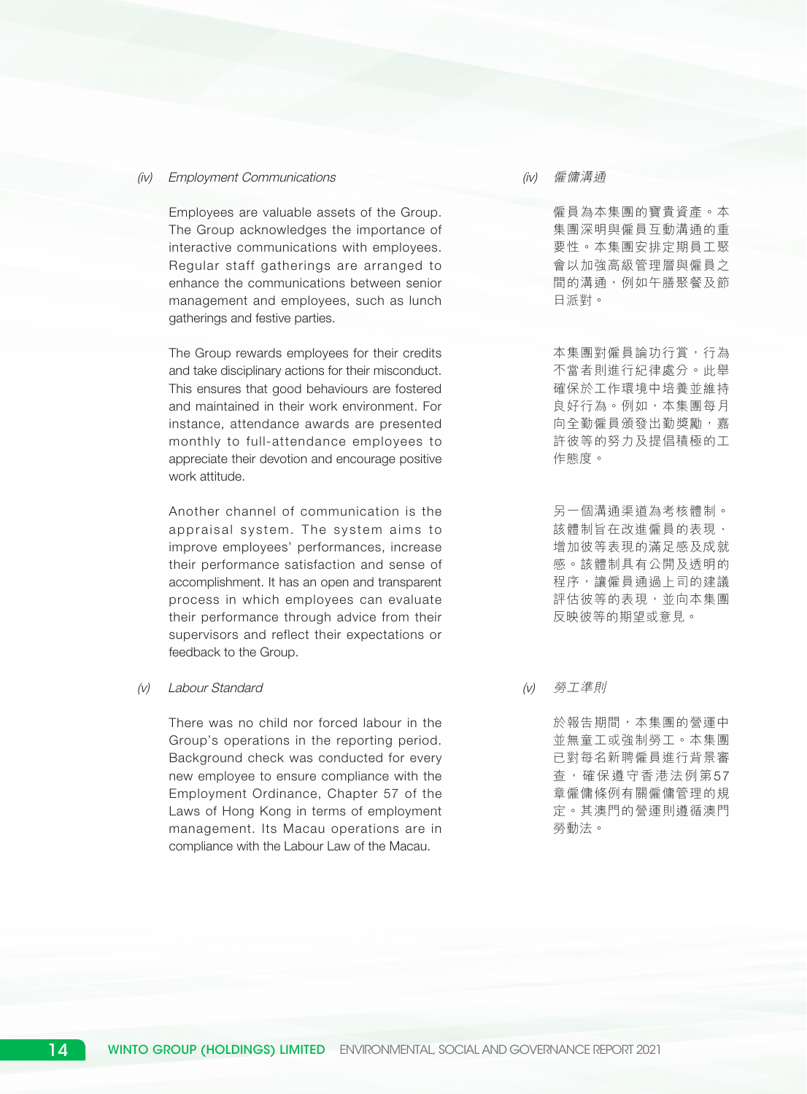#### (iv) Employment Communications

Employees are valuable assets of the Group. The Group acknowledges the importance of interactive communications with employees. Regular staff gatherings are arranged to enhance the communications between senior management and employees, such as lunch gatherings and festive parties.

The Group rewards employees for their credits and take disciplinary actions for their misconduct. This ensures that good behaviours are fostered and maintained in their work environment. For instance, attendance awards are presented monthly to full-attendance employees to appreciate their devotion and encourage positive work attitude.

Another channel of communication is the appraisal system. The system aims to improve employees' performances, increase their performance satisfaction and sense of accomplishment. It has an open and transparent process in which employees can evaluate their performance through advice from their supervisors and reflect their expectations or feedback to the Group.

#### (v) Labour Standard

There was no child nor forced labour in the Group's operations in the reporting period. Background check was conducted for every new employee to ensure compliance with the Employment Ordinance, Chapter 57 of the Laws of Hong Kong in terms of employment management. Its Macau operations are in compliance with the Labour Law of the Macau.

#### (iv) 僱傭溝通

僱員為本集團的寶貴資產。本 集團深明與僱員互動溝通的重 要性。本集團安排定期員工聚 會以加強高級管理層與僱員之 間的溝通,例如午膳聚餐及節 日派對。

本集團對僱員論功行賞,行為 不當者則進行紀律處分。此舉 確保於工作環境中培養並維持 良好行為。例如,本集團每月 向全勤僱員頒發出勤獎勵,嘉 許彼等的努力及提倡積極的工 作態度。

另一個溝通渠道為考核體制。 該體制旨在改進僱員的表現、 增加彼等表現的滿足感及成就 感。該體制具有公開及透明的 程序,讓僱員通過上司的建議 評估彼等的表現,並向本集團 反映彼等的期望或意見。

(v) 勞工準則

於報告期間,本集團的營運中 並無童工或強制勞工。本集團 已對每名新聘僱員進行背景審 查,確保遵守香港法例第57 章僱傭條例有關僱傭管理的規 定。其澳門的營運則遵循澳門 勞動法。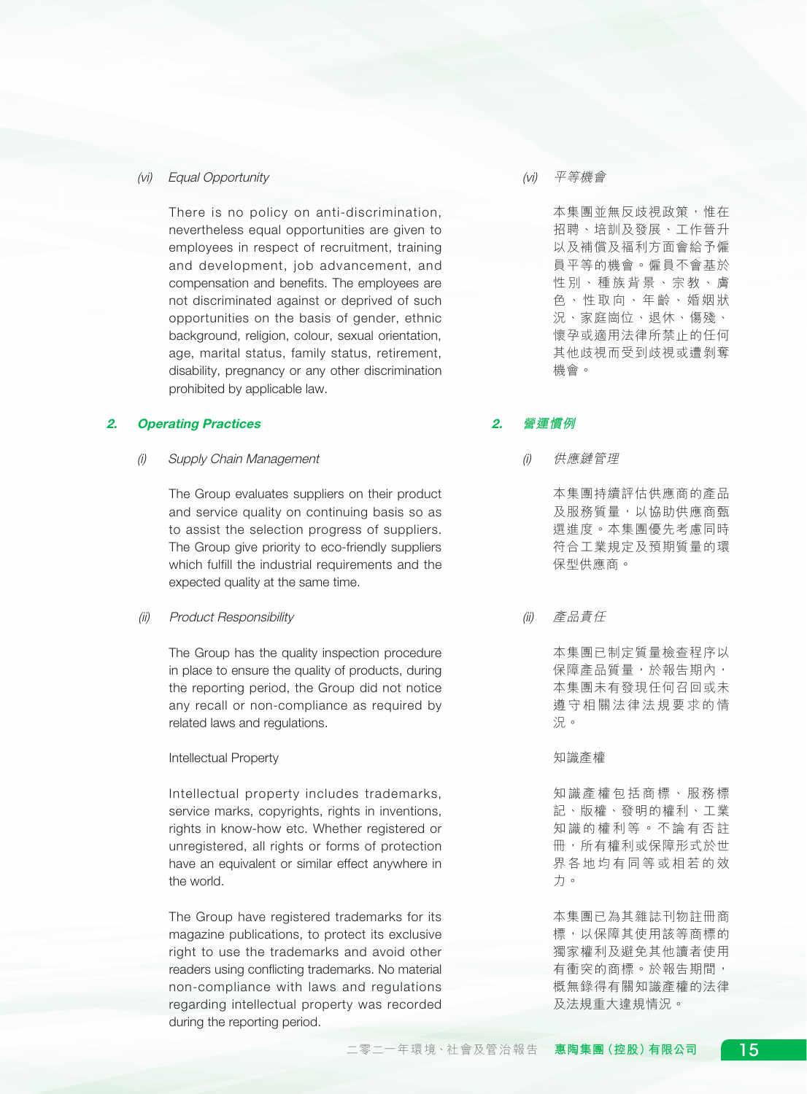### (vi) Equal Opportunity

There is no policy on anti-discrimination, nevertheless equal opportunities are given to employees in respect of recruitment, training and development, job advancement, and compensation and benefits. The employees are not discriminated against or deprived of such opportunities on the basis of gender, ethnic background, religion, colour, sexual orientation, age, marital status, family status, retirement, disability, pregnancy or any other discrimination prohibited by applicable law.

### 2. Operating Practices

(i) Supply Chain Management

The Group evaluates suppliers on their product and service quality on continuing basis so as to assist the selection progress of suppliers. The Group give priority to eco-friendly suppliers which fulfill the industrial requirements and the expected quality at the same time.

#### (ii) Product Responsibility

The Group has the quality inspection procedure in place to ensure the quality of products, during the reporting period, the Group did not notice any recall or non-compliance as required by related laws and regulations.

#### Intellectual Property

Intellectual property includes trademarks, service marks, copyrights, rights in inventions, rights in know-how etc. Whether registered or unregistered, all rights or forms of protection have an equivalent or similar effect anywhere in the world.

The Group have registered trademarks for its magazine publications, to protect its exclusive right to use the trademarks and avoid other readers using conflicting trademarks. No material non-compliance with laws and regulations regarding intellectual property was recorded during the reporting period.

#### (vi) 平等機會

本集團並無反歧視政策,惟在 招聘、培訓及發展、工作晉升 以及補償及福利方面會給予僱 員平等的機會。僱員不會基於 性別、種族背景、宗教、膚 色、性取向、年齡、婚姻狀 況、家庭崗位、退休、傷殘、 懷孕或適用法律所禁止的任何 其他歧視而受到歧視或遭剝奪 機會。

# 2. **營運慣例**

(i) 供應鏈管理

本集團持續評估供應商的產品 及服務質量,以協助供應商甄 選進度。本集團優先考慮同時 符合工業規定及預期質量的環 保型供應商。

(ii) 產品責任

本集團已制定質量檢查程序以 保障產品質量,於報告期內, 本集團未有發現任何召回或未 遵守相關法律法規要求的情 況。

知識產權

知識產權包括商標、服務標 記、版權、發明的權利、工業 知識的權利等。不論有否註 冊,所有權利或保障形式於世 界各地均有同等或相若的效 力。

本集團已為其雜誌刊物註冊商 標,以保障其使用該等商標的 獨家權利及避免其他讀者使用 有衝突的商標。於報告期間, 概無錄得有關知識產權的法律 及法規重大違規情況。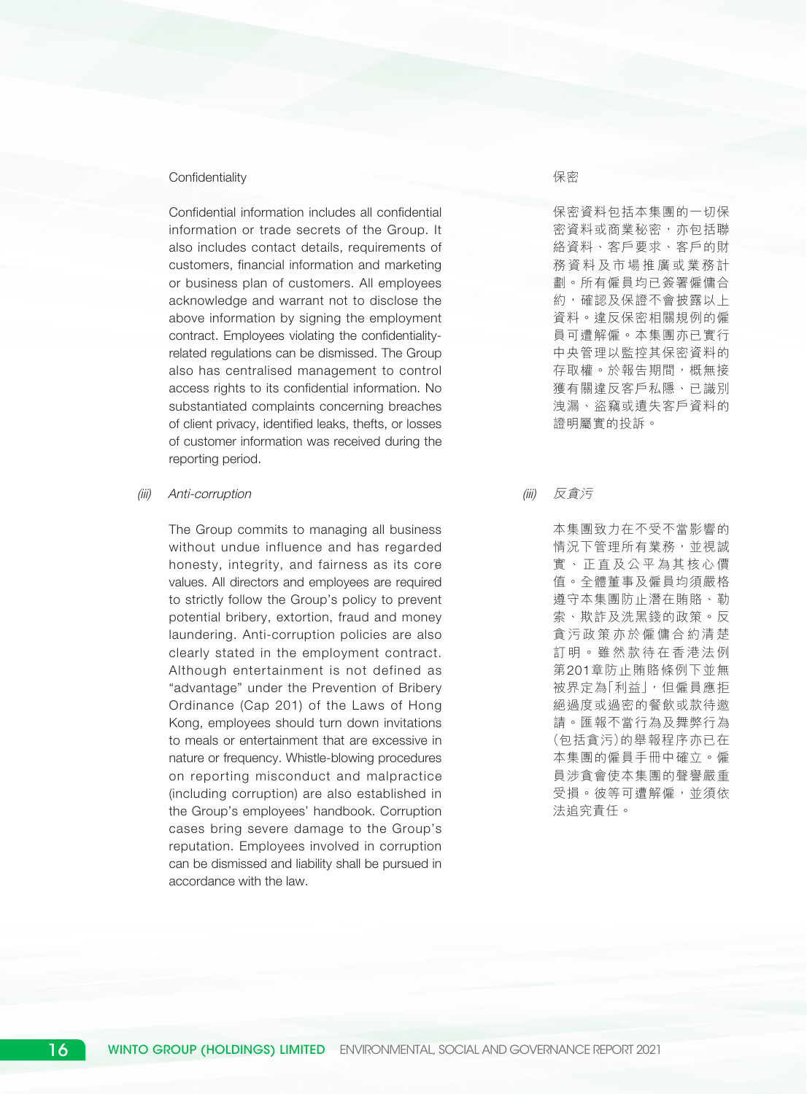#### **Confidentiality**

Confidential information includes all confidential information or trade secrets of the Group. It also includes contact details, requirements of customers, financial information and marketing or business plan of customers. All employees acknowledge and warrant not to disclose the above information by signing the employment contract. Employees violating the confidentialityrelated regulations can be dismissed. The Group also has centralised management to control access rights to its confidential information. No substantiated complaints concerning breaches of client privacy, identified leaks, thefts, or losses of customer information was received during the reporting period.

(iii) Anti-corruption

The Group commits to managing all business without undue influence and has regarded honesty, integrity, and fairness as its core values. All directors and employees are required to strictly follow the Group's policy to prevent potential bribery, extortion, fraud and money laundering. Anti-corruption policies are also clearly stated in the employment contract. Although entertainment is not defined as "advantage" under the Prevention of Bribery Ordinance (Cap 201) of the Laws of Hong Kong, employees should turn down invitations to meals or entertainment that are excessive in nature or frequency. Whistle-blowing procedures on reporting misconduct and malpractice (including corruption) are also established in the Group's employees' handbook. Corruption cases bring severe damage to the Group's reputation. Employees involved in corruption can be dismissed and liability shall be pursued in accordance with the law.

#### 保密

保密資料包括本集團的一切保 密資料或商業秘密,亦包括聯 絡資料、客戶要求、客戶的財 務資料及市場推廣或業務計 劃。所有僱員均已簽署僱傭合 約,確認及保證不會披露以上 資料。違反保密相關規例的僱 員可遭解僱。本集團亦已實行 中央管理以監控其保密資料的 存取權。於報告期間,概無接 獲有關違反客戶私隱、已識別 洩漏、盜竊或遺失客戶資料的 證明屬實的投訴。

(iii) 反貪污

本集團致力在不受不當影響的 情況下管理所有業務,並視誠 實、正直及公平為其核心價 值。全體董事及僱員均須嚴格 遵守本集團防止潛在賄賂、勒 索、欺詐及洗黑錢的政策。反 貪污政策亦於僱傭合約清楚 訂明。雖然款待在香港法例 第201章防止賄賂條例下並無 被界定為「利益」,但僱員應拒 絕過度或過密的餐飲或款待邀 請。匯報不當行為及舞弊行為 (包括貪污)的舉報程序亦已在 本集團的僱員手冊中確立。僱 員涉貪會使本集團的聲譽嚴重 受損。彼等可遭解僱,並須依 法追究責任。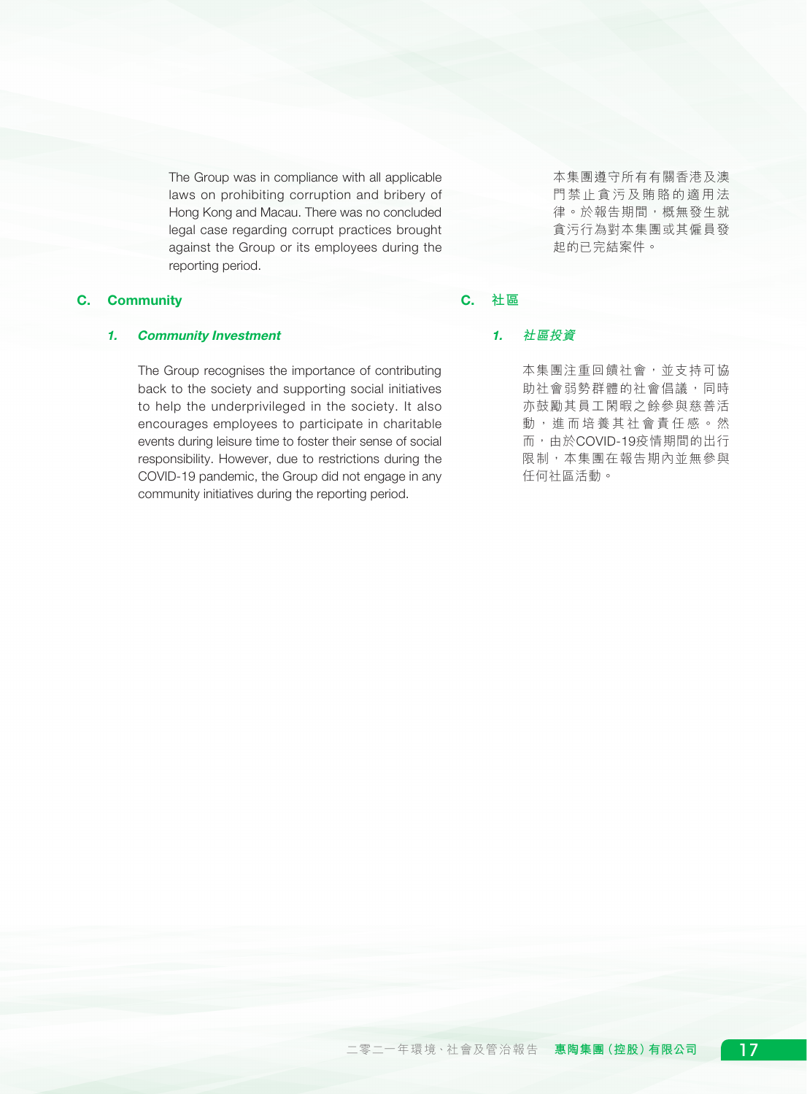The Group was in compliance with all applicable laws on prohibiting corruption and bribery of Hong Kong and Macau. There was no concluded legal case regarding corrupt practices brought against the Group or its employees during the reporting period.

# C. Community

### 1. Community Investment

The Group recognises the importance of contributing back to the society and supporting social initiatives to help the underprivileged in the society. It also encourages employees to participate in charitable events during leisure time to foster their sense of social responsibility. However, due to restrictions during the COVID-19 pandemic, the Group did not engage in any community initiatives during the reporting period.

本集團遵守所有有關香港及澳 門禁止貪污及賄賂的適用法 律。於報告期間,概無發生就 貪污行為對本集團或其僱員發 起的已完結案件。

# C. **社區**

#### 1. **社區投資**

本集團注重回饋社會,並支持可協 助社會弱勢群體的社會倡議,同時 亦鼓勵其員工閑暇之餘參與慈善活 動,進而培養其社會責任感。然 而,由於COVID-19疫情期間的出行 限制,本集團在報告期內並無參與 任何社區活動。